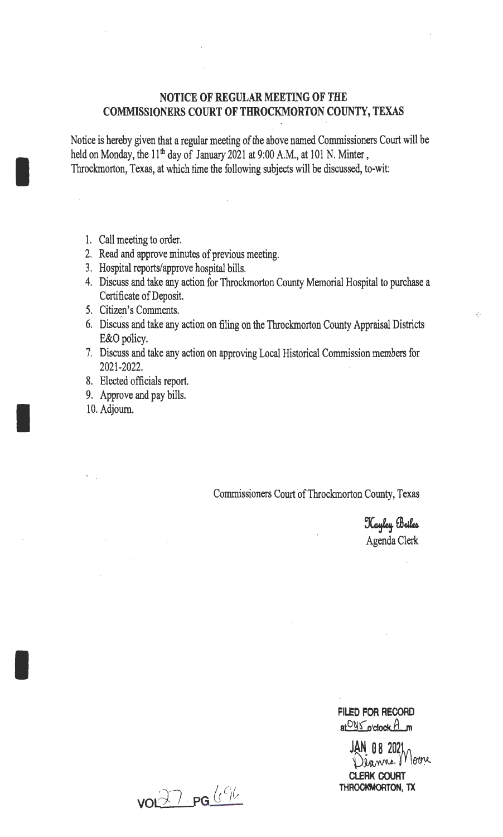## **NOTICE OF REGULAR MEETING OF THE COMMISSIONERS COURT OF THROCKMORTON COUNTY, TEXAS**

Notice is hereby given that a regular meeting of the above named Commissioners Court will be held on Monday, the 11<sup>th</sup> day of January 2021 at 9:00 A.M., at 101 N. Minter, Throckmorton, Texas, at which time the following subjects will be discussed, to-wit:

1. Call meeting to order.

I

I

I

- 2. Read and approve minutes of previous meeting.
- 3. Hospital reports/approve hospital bills.
- 4. Discuss and take any action for Throckmorton County Memorial Hospital to purchase a Certificate of Deposit.
- 5. Citizen's Comments.
- 6. Discuss and take any action on filing on the Throckmorton County Appraisal Districts E&O policy.
- 7. Discuss and take any action on approving Local Historical Commission members for 2021-2022.
- 8. Elected officials report.
- 9. Approve and pay bills.
- 10. Adjourn.

Commissioners Court of Throckmorton County, Texas

Kayley Briles Agenda Clerk

**FILED FOR RECORD**  at<sup>O815</sup>o'clock A\_m

JAN 08 2021 Dianne Moore **CLERK COURT THROCKMORTON, TX** 

voifl · **PG** &°!~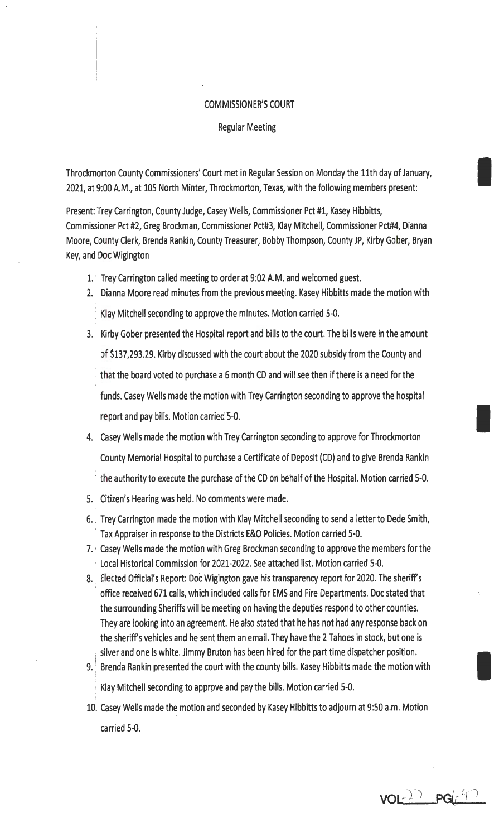## COMMISSIONER'S COURT

Regular Meeting

Throckmorton County Commissioners' Court met in Regular Session on Monday the 11th day of January, 2021, at 9:00 A.M., at 105 North Minter, Throckmorton, Texas, with the following members present:

Present: Trey Carrington, County Judge, Casey Wells, Commissioner Pct #1, Kasey Hibbitts, Commis~ioner Pct #2, Greg Brockman, Commissioner Pct#3, Klay Mitchell, Commissioner Pct#4, Dianna Moore, County Clerk, Brenda Rankin, County Treasurer, Bobby Thompson, County JP, Kirby Gober, Bryan Key, and Doc Wigington

- 1. Trey Carrington called meeting to order at 9:02 A.M. and welcomed guest.
- 2. Dianna Moore read minutes from the previous meeting. Kasey Hibbitts made the motion with Klay Mitchell seconding to approve the minutes. Motion carried 5-0.
- 3. Kirby Gober presented the Hospital report and bills to the court. The bills were in the amount of \$137,293.29. Kirby discussed with the court about the 2020 subsidy from the County and · that the board voted to purchase a 6 month CD and will see then if there is a need for the funds. Casey Wells made the motion with Trey Carrington seconding to approve the hospital report and pay bills. Motion carried 5-0.
- 4. Casey Wells made the motion with Trey Carrington seconding to approve for Throckmorton County Memorial Hospital to purchase a Certificate of Deposit (CD) and to give Brenda Rankin · the authority to execute the purchase of the CD on behalf of the Hospital. Motion carried 5-0.
- 5. Citizen's Hearing was held. No comments were made.
- 6 .. Trey Carrington made the motion with Klay Mitchell seconding to send a letter to Dede Smith, ' Tax Appraiser in response to the Districts E&O Policies. Motion carried 5-0.
- 7. · Casey Wells made the motion with Greg Brockman seconding to approve the members for the Local Historical Commission for 2021-2022. See attached list. Motion carried 5-0.
- 8. Elected Official's Report: Doc Wigington gave his transparency report for 2020. The sheriff's ' office received 671 calls, which included calls for EMS and Fire Departments. Doc stated that the surrounding Sheriffs will be meeting on having the deputies respond to other counties. They are looking into an agreement. He also stated that he has not had any response back on the sheriff's vehicles and he sent them an email. They have the 2 Tahoes in stock, but one is the sheriff's vehicles and he sent them an email. They have the 2 Tahoes in stock, but one is<br>is viver and one is white. Jimmy Bruton has been hired for the part time dispatcher position.
- 9. 1 Brenda Rankin presented the court with the county bills. Kasey Hibbitts made the motion with Klay Mitchell seconding to approve and pay the bills. Motion carried 5-0.
- ! 10. Casey Wells made the motion and seconded by Kasey Hibbitts to adjourn at 9:50 a.m. Motion carried 5-0.

 $VOL^{27}PG(i^{97})$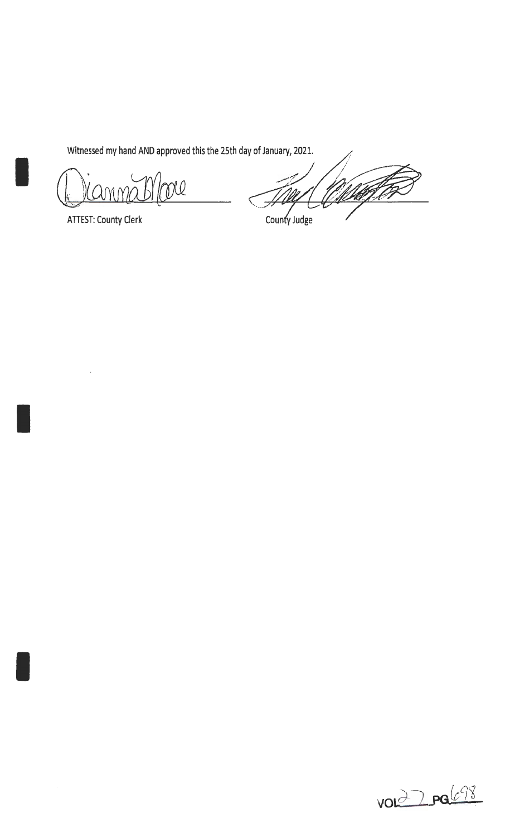Witnessed my hand AND approved this the 25th day of January, 2021.

Nl IMN

ATIEST: County Clerk

I

I

<u>Maqler</u> County Judge

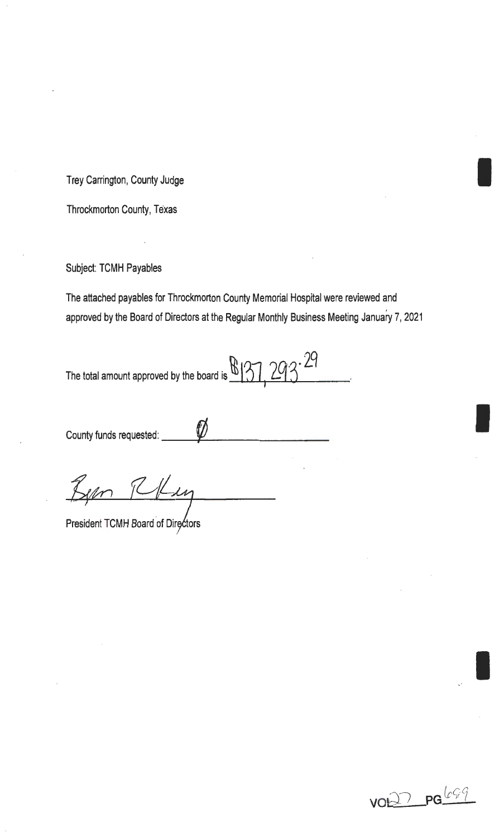Trey Carrington, County Judge International County of the United States of Trey Carrington, County Judge

Throckmorton County, Texas

Subject: TCMH Payables

The attached payables for Throckmorton County Memorial Hospital were reviewed and approved by the Board of Directors at the Regular Monthly Business Meeting January 7, 2021

The total amount approved by the board is  $\mathbb{B}[31, 293 \cdot 29]$ 

County funds requested:  $\sqrt{2}$ 

Been Robin

President TCMH Board of Directors



I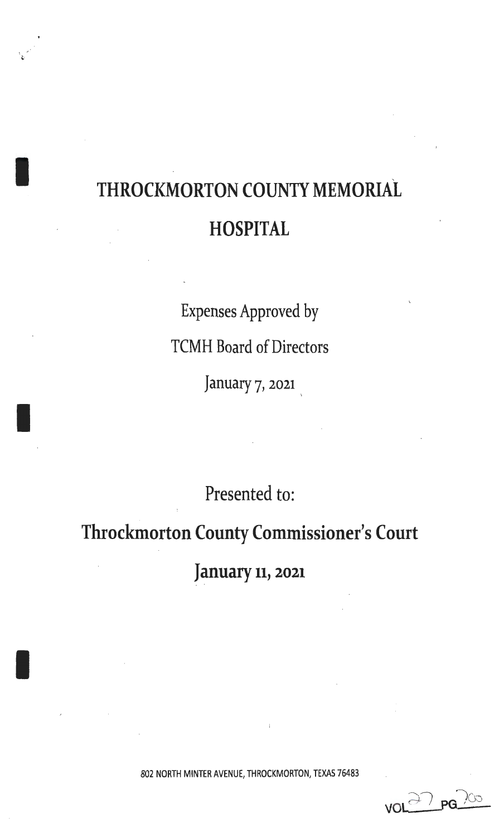## THROCKMORTON COUNTY MEMORIAL **HOSPITAL**

. , ...

I

I

I

Expenses Approved by TCMH Board of Directors January 7, 2021

Presented to:

Throckmorton County Commissioner's Court

January 11, 2021

802 NORTH MINTER AVENUE, THROCKMORTON, TEXAS 76483

vol<sup>27</sup> pg 200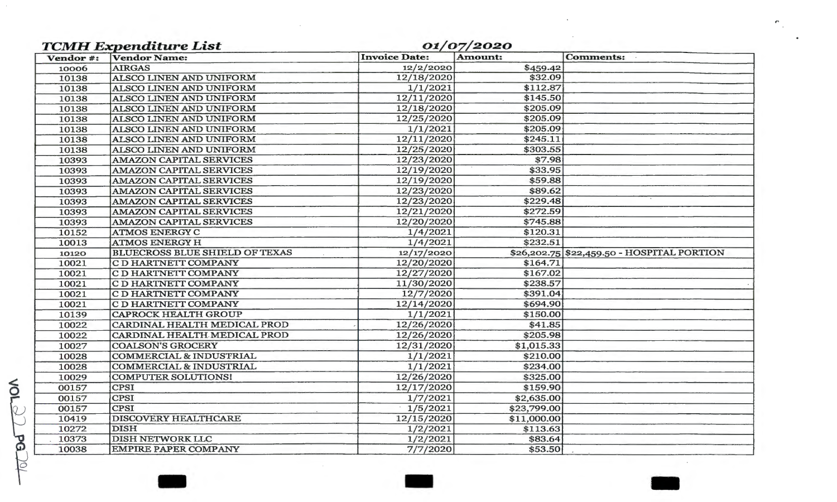| Vendor #: | <b>TCMH Expenditure List</b><br><b>Vendor Name:</b> | 01/07/2020<br><b>Invoice Date:</b> | <b>Amount:</b> | <b>Comments:</b>                           |
|-----------|-----------------------------------------------------|------------------------------------|----------------|--------------------------------------------|
| 10006     | <b>AIRGAS</b>                                       | 12/2/2020                          | \$459.42       |                                            |
| 10138     | ALSCO LINEN AND UNIFORM                             | 12/18/2020                         | \$32.09        |                                            |
| 10138     | ALSCO LINEN AND UNIFORM                             | 1/1/2021                           | \$112.87       |                                            |
| 10138     | ALSCO LINEN AND UNIFORM                             | 12/11/2020                         | \$145.50       |                                            |
| 10138     | ALSCO LINEN AND UNIFORM                             | 12/18/2020                         | \$205.09       |                                            |
| 10138     | ALSCO LINEN AND UNIFORM                             | 12/25/2020                         | \$205.09       |                                            |
| 10138     | ALSCO LINEN AND UNIFORM                             | 1/1/2021                           | \$205.09       |                                            |
| 10138     | ALSCO LINEN AND UNIFORM                             | 12/11/2020                         | \$245.11       |                                            |
| 10138     | ALSCO LINEN AND UNIFORM                             | 12/25/2020                         | \$303.55       |                                            |
| 10393     | <b>AMAZON CAPITAL SERVICES</b>                      | 12/23/2020                         | \$7.98         |                                            |
| 10393     | <b>AMAZON CAPITAL SERVICES</b>                      | 12/19/2020                         | \$33.95        |                                            |
| 10393     | <b>AMAZON CAPITAL SERVICES</b>                      | 12/19/2020                         | \$59.88        |                                            |
| 10393     | <b>AMAZON CAPITAL SERVICES</b>                      | 12/23/2020                         | \$89.62        |                                            |
| 10393     | <b>AMAZON CAPITAL SERVICES</b>                      | 12/23/2020                         | \$229.48       |                                            |
| 10393     | AMAZON CAPITAL SERVICES                             | 12/21/2020                         | \$272.59       |                                            |
| 10393     | <b>AMAZON CAPITAL SERVICES</b>                      | 12/20/2020                         | \$745.88       |                                            |
| 10152     | <b>ATMOS ENERGY C</b>                               | 1/4/2021                           | \$120.31       |                                            |
| 10013     | <b>ATMOS ENERGY H</b>                               | 1/4/2021                           | \$232.51       |                                            |
| 10120     | <b>BLUECROSS BLUE SHIELD OF TEXAS</b>               | 12/17/2020                         |                | \$26,202.75 \$22,459.50 - HOSPITAL PORTION |
| 10021     | C D HARTNETT COMPANY                                | 12/20/2020                         | \$164.71       |                                            |
| 10021     | C D HARTNETT COMPANY                                | 12/27/2020                         | \$167.02       |                                            |
| 10021     | C D HARTNETT COMPANY                                | 11/30/2020                         | \$238.57       |                                            |
| 10021     | C D HARTNETT COMPANY                                | 12/7/2020                          | \$391.04       |                                            |
| 10021     | C D HARTNETT COMPANY                                | 12/14/2020                         | \$694.90       |                                            |
| 10139     | <b>CAPROCK HEALTH GROUP</b>                         | 1/1/2021                           | \$150.00       |                                            |
| 10022     | CARDINAL HEALTH MEDICAL PROD                        | 12/26/2020                         | \$41.85        |                                            |
| 10022     | CARDINAL HEALTH MEDICAL PROD                        | 12/26/2020                         | \$205.98       |                                            |
| 10027     | <b>COALSON'S GROCERY</b>                            | 12/31/2020                         | \$1,015.33     |                                            |
| 10028     | <b>COMMERCIAL &amp; INDUSTRIAL</b>                  | 1/1/2021                           | \$210.00       |                                            |
| 10028     | <b>COMMERCIAL &amp; INDUSTRIAL</b>                  | 1/1/2021                           | \$234.00       |                                            |
| 10029     | <b>COMPUTER SOLUTIONS!</b>                          | 12/26/2020                         | \$325.00       |                                            |
| 00157     | <b>CPSI</b>                                         | 12/17/2020                         | \$159.90       |                                            |
| 00157     | <b>CPSI</b>                                         | 1/7/2021                           | \$2,635.00     |                                            |
| 00157     | <b>CPSI</b>                                         | 1/5/2021                           | \$23,799.00    |                                            |
| 10419     | <b>DISCOVERY HEALTHCARE</b>                         | 12/15/2020                         | \$11,000.00    |                                            |
| 10272     | <b>DISH</b>                                         | 1/2/2021                           | \$113.63       |                                            |
| 10373     | <b>DISH NETWORK LLC</b>                             | 1/2/2021                           | \$83.64        |                                            |
| 10038     | <b>EMPIRE PAPER COMPANY</b>                         | 7/7/2020                           | \$53.50        |                                            |

 $\sim 10^{-11}$ 

 $\sim 10^{-1}$ 

 $\sim 10^{-1}$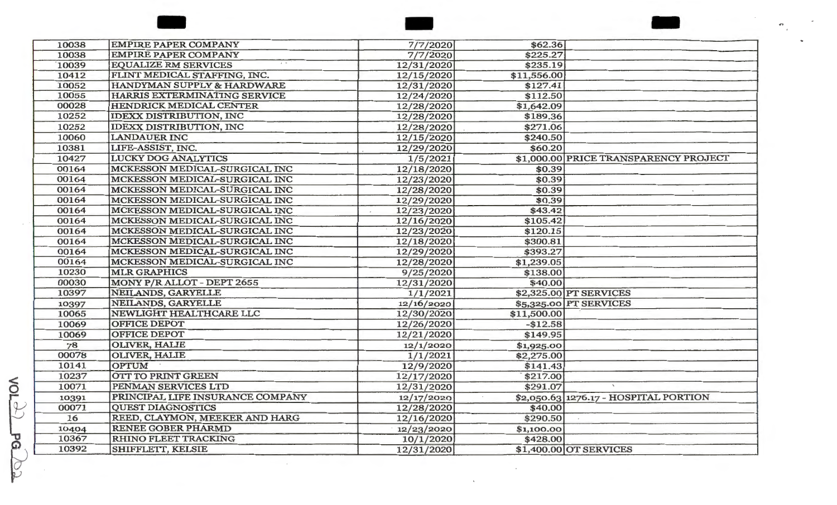| 10038<br><b>EMPIRE PAPER COMPANY</b><br>\$225.27<br>7/7/2020<br>10039<br><b>EQUALIZE RM SERVICES</b><br>\$235.19<br>12/31/2020<br>10412<br>FLINT MEDICAL STAFFING, INC.<br>\$11,556.00<br>12/15/2020<br>10052<br>HANDYMAN SUPPLY & HARDWARE<br>12/31/2020<br>\$127.41<br>10055<br>HARRIS EXTERMINATING SERVICE<br>\$112.50<br>12/24/2020<br>00028<br>HENDRICK MEDICAL CENTER<br>\$1,642.09<br>12/28/2020<br>10252<br><b>IDEXX DISTRIBUTION, INC</b><br>\$189.36<br>12/28/2020<br>10252<br><b>IDEXX DISTRIBUTION, INC</b><br>\$271.06<br>12/28/2020<br>10060<br><b>LANDAUER INC</b><br>\$240.50<br>12/15/2020<br>10381<br>LIFE-ASSIST, INC.<br>\$60.20<br>12/29/2020<br>10427<br><b>LUCKY DOG ANALYTICS</b><br>1/5/2021<br>\$1,000.00 PRICE TRANSPARENCY PROJECT<br>00164<br>\$0.39<br>MCKESSON MEDICAL-SURGICAL INC<br>12/18/2020<br>\$0.39<br>00164<br>MCKESSON MEDICAL-SURGICAL INC<br>12/23/2020<br>00164<br>MCKESSON MEDICAL-SURGICAL INC<br>\$0.39<br>12/28/2020<br>00164<br>MCKESSON MEDICAL-SURGICAL INC<br>\$0.39<br>12/29/2020<br>00164<br>MCKESSON MEDICAL-SURGICAL INC<br>\$43.42<br>12/23/2020<br>00164<br>MCKESSON MEDICAL-SURGICAL INC<br>\$105.42<br>12/16/2020<br>00164<br>MCKESSON MEDICAL-SURGICAL INC<br>\$120.15<br>12/23/2020<br>00164<br>MCKESSON MEDICAL-SURGICAL INC<br>12/18/2020<br>\$300.81<br>00164<br>MCKESSON MEDICAL-SURGICAL INC<br>12/29/2020<br>\$393.27<br>00164<br>MCKESSON MEDICAL-SURGICAL INC<br>\$1,239.05<br>12/28/2020<br>10230<br><b>MLR GRAPHICS</b><br>9/25/2020<br>\$138.00<br>00030<br>MONY P/R ALLOT - DEPT 2655<br>\$40.00<br>12/31/2020<br>10397<br>NEILANDS, GARYELLE<br>\$2,325.00 PT SERVICES<br>1/1/2021<br>NEILANDS, GARYELLE<br>\$5,325.00 PT SERVICES<br>12/16/2020<br>10397<br>10065<br>NEWLIGHT HEALTHCARE LLC<br>\$11,500.00<br>12/30/2020<br>10069<br><b>OFFICE DEPOT</b><br>$-$12.58$<br>12/26/2020<br><b>OFFICE DEPOT</b><br>10069<br>\$149.95<br>12/21/2020<br><b>OLIVER, HALIE</b><br>78<br>12/1/2020<br>\$1,925.00<br>00078<br>OLIVER, HALIE<br>1/1/2021<br>\$2,275.00<br><b>OPTUM</b><br>10141<br>12/9/2020<br>\$141.43<br>OTT TO PRINT GREEN<br>10237<br>12/17/2020<br>\$217.00<br>10071<br>\$291.07<br>PENMAN SERVICES LTD<br>12/31/2020<br>PRINCIPAL LIFE INSURANCE COMPANY<br>\$2,050.63 1276.17 - HOSPITAL PORTION<br>10391<br>12/17/2020<br>00071<br><b>QUEST DIAGNOSTICS</b><br>12/28/2020<br>\$40.00<br>16<br>REED, CLAYMON, MEEKER AND HARG<br>\$290.50<br>12/16/2020<br><b>RENEE GOBER PHARMD</b><br>12/23/2020<br>10404<br>\$1,100.00 | 10038 | <b>EMPIRE PAPER COMPANY</b> |           |          |  |
|---------------------------------------------------------------------------------------------------------------------------------------------------------------------------------------------------------------------------------------------------------------------------------------------------------------------------------------------------------------------------------------------------------------------------------------------------------------------------------------------------------------------------------------------------------------------------------------------------------------------------------------------------------------------------------------------------------------------------------------------------------------------------------------------------------------------------------------------------------------------------------------------------------------------------------------------------------------------------------------------------------------------------------------------------------------------------------------------------------------------------------------------------------------------------------------------------------------------------------------------------------------------------------------------------------------------------------------------------------------------------------------------------------------------------------------------------------------------------------------------------------------------------------------------------------------------------------------------------------------------------------------------------------------------------------------------------------------------------------------------------------------------------------------------------------------------------------------------------------------------------------------------------------------------------------------------------------------------------------------------------------------------------------------------------------------------------------------------------------------------------------------------------------------------------------------------------------------------------------------------------------------------------------------------------------------------------------------------------------------------------------------------------------------------------------------------------------------------------------------------------------------------|-------|-----------------------------|-----------|----------|--|
|                                                                                                                                                                                                                                                                                                                                                                                                                                                                                                                                                                                                                                                                                                                                                                                                                                                                                                                                                                                                                                                                                                                                                                                                                                                                                                                                                                                                                                                                                                                                                                                                                                                                                                                                                                                                                                                                                                                                                                                                                                                                                                                                                                                                                                                                                                                                                                                                                                                                                                                     |       |                             | 7/7/2020  | \$62.36  |  |
|                                                                                                                                                                                                                                                                                                                                                                                                                                                                                                                                                                                                                                                                                                                                                                                                                                                                                                                                                                                                                                                                                                                                                                                                                                                                                                                                                                                                                                                                                                                                                                                                                                                                                                                                                                                                                                                                                                                                                                                                                                                                                                                                                                                                                                                                                                                                                                                                                                                                                                                     |       |                             |           |          |  |
|                                                                                                                                                                                                                                                                                                                                                                                                                                                                                                                                                                                                                                                                                                                                                                                                                                                                                                                                                                                                                                                                                                                                                                                                                                                                                                                                                                                                                                                                                                                                                                                                                                                                                                                                                                                                                                                                                                                                                                                                                                                                                                                                                                                                                                                                                                                                                                                                                                                                                                                     |       |                             |           |          |  |
|                                                                                                                                                                                                                                                                                                                                                                                                                                                                                                                                                                                                                                                                                                                                                                                                                                                                                                                                                                                                                                                                                                                                                                                                                                                                                                                                                                                                                                                                                                                                                                                                                                                                                                                                                                                                                                                                                                                                                                                                                                                                                                                                                                                                                                                                                                                                                                                                                                                                                                                     |       |                             |           |          |  |
|                                                                                                                                                                                                                                                                                                                                                                                                                                                                                                                                                                                                                                                                                                                                                                                                                                                                                                                                                                                                                                                                                                                                                                                                                                                                                                                                                                                                                                                                                                                                                                                                                                                                                                                                                                                                                                                                                                                                                                                                                                                                                                                                                                                                                                                                                                                                                                                                                                                                                                                     |       |                             |           |          |  |
|                                                                                                                                                                                                                                                                                                                                                                                                                                                                                                                                                                                                                                                                                                                                                                                                                                                                                                                                                                                                                                                                                                                                                                                                                                                                                                                                                                                                                                                                                                                                                                                                                                                                                                                                                                                                                                                                                                                                                                                                                                                                                                                                                                                                                                                                                                                                                                                                                                                                                                                     |       |                             |           |          |  |
|                                                                                                                                                                                                                                                                                                                                                                                                                                                                                                                                                                                                                                                                                                                                                                                                                                                                                                                                                                                                                                                                                                                                                                                                                                                                                                                                                                                                                                                                                                                                                                                                                                                                                                                                                                                                                                                                                                                                                                                                                                                                                                                                                                                                                                                                                                                                                                                                                                                                                                                     |       |                             |           |          |  |
|                                                                                                                                                                                                                                                                                                                                                                                                                                                                                                                                                                                                                                                                                                                                                                                                                                                                                                                                                                                                                                                                                                                                                                                                                                                                                                                                                                                                                                                                                                                                                                                                                                                                                                                                                                                                                                                                                                                                                                                                                                                                                                                                                                                                                                                                                                                                                                                                                                                                                                                     |       |                             |           |          |  |
|                                                                                                                                                                                                                                                                                                                                                                                                                                                                                                                                                                                                                                                                                                                                                                                                                                                                                                                                                                                                                                                                                                                                                                                                                                                                                                                                                                                                                                                                                                                                                                                                                                                                                                                                                                                                                                                                                                                                                                                                                                                                                                                                                                                                                                                                                                                                                                                                                                                                                                                     |       |                             |           |          |  |
|                                                                                                                                                                                                                                                                                                                                                                                                                                                                                                                                                                                                                                                                                                                                                                                                                                                                                                                                                                                                                                                                                                                                                                                                                                                                                                                                                                                                                                                                                                                                                                                                                                                                                                                                                                                                                                                                                                                                                                                                                                                                                                                                                                                                                                                                                                                                                                                                                                                                                                                     |       |                             |           |          |  |
|                                                                                                                                                                                                                                                                                                                                                                                                                                                                                                                                                                                                                                                                                                                                                                                                                                                                                                                                                                                                                                                                                                                                                                                                                                                                                                                                                                                                                                                                                                                                                                                                                                                                                                                                                                                                                                                                                                                                                                                                                                                                                                                                                                                                                                                                                                                                                                                                                                                                                                                     |       |                             |           |          |  |
|                                                                                                                                                                                                                                                                                                                                                                                                                                                                                                                                                                                                                                                                                                                                                                                                                                                                                                                                                                                                                                                                                                                                                                                                                                                                                                                                                                                                                                                                                                                                                                                                                                                                                                                                                                                                                                                                                                                                                                                                                                                                                                                                                                                                                                                                                                                                                                                                                                                                                                                     |       |                             |           |          |  |
|                                                                                                                                                                                                                                                                                                                                                                                                                                                                                                                                                                                                                                                                                                                                                                                                                                                                                                                                                                                                                                                                                                                                                                                                                                                                                                                                                                                                                                                                                                                                                                                                                                                                                                                                                                                                                                                                                                                                                                                                                                                                                                                                                                                                                                                                                                                                                                                                                                                                                                                     |       |                             |           |          |  |
|                                                                                                                                                                                                                                                                                                                                                                                                                                                                                                                                                                                                                                                                                                                                                                                                                                                                                                                                                                                                                                                                                                                                                                                                                                                                                                                                                                                                                                                                                                                                                                                                                                                                                                                                                                                                                                                                                                                                                                                                                                                                                                                                                                                                                                                                                                                                                                                                                                                                                                                     |       |                             |           |          |  |
|                                                                                                                                                                                                                                                                                                                                                                                                                                                                                                                                                                                                                                                                                                                                                                                                                                                                                                                                                                                                                                                                                                                                                                                                                                                                                                                                                                                                                                                                                                                                                                                                                                                                                                                                                                                                                                                                                                                                                                                                                                                                                                                                                                                                                                                                                                                                                                                                                                                                                                                     |       |                             |           |          |  |
|                                                                                                                                                                                                                                                                                                                                                                                                                                                                                                                                                                                                                                                                                                                                                                                                                                                                                                                                                                                                                                                                                                                                                                                                                                                                                                                                                                                                                                                                                                                                                                                                                                                                                                                                                                                                                                                                                                                                                                                                                                                                                                                                                                                                                                                                                                                                                                                                                                                                                                                     |       |                             |           |          |  |
|                                                                                                                                                                                                                                                                                                                                                                                                                                                                                                                                                                                                                                                                                                                                                                                                                                                                                                                                                                                                                                                                                                                                                                                                                                                                                                                                                                                                                                                                                                                                                                                                                                                                                                                                                                                                                                                                                                                                                                                                                                                                                                                                                                                                                                                                                                                                                                                                                                                                                                                     |       |                             |           |          |  |
|                                                                                                                                                                                                                                                                                                                                                                                                                                                                                                                                                                                                                                                                                                                                                                                                                                                                                                                                                                                                                                                                                                                                                                                                                                                                                                                                                                                                                                                                                                                                                                                                                                                                                                                                                                                                                                                                                                                                                                                                                                                                                                                                                                                                                                                                                                                                                                                                                                                                                                                     |       |                             |           |          |  |
|                                                                                                                                                                                                                                                                                                                                                                                                                                                                                                                                                                                                                                                                                                                                                                                                                                                                                                                                                                                                                                                                                                                                                                                                                                                                                                                                                                                                                                                                                                                                                                                                                                                                                                                                                                                                                                                                                                                                                                                                                                                                                                                                                                                                                                                                                                                                                                                                                                                                                                                     |       |                             |           |          |  |
|                                                                                                                                                                                                                                                                                                                                                                                                                                                                                                                                                                                                                                                                                                                                                                                                                                                                                                                                                                                                                                                                                                                                                                                                                                                                                                                                                                                                                                                                                                                                                                                                                                                                                                                                                                                                                                                                                                                                                                                                                                                                                                                                                                                                                                                                                                                                                                                                                                                                                                                     |       |                             |           |          |  |
|                                                                                                                                                                                                                                                                                                                                                                                                                                                                                                                                                                                                                                                                                                                                                                                                                                                                                                                                                                                                                                                                                                                                                                                                                                                                                                                                                                                                                                                                                                                                                                                                                                                                                                                                                                                                                                                                                                                                                                                                                                                                                                                                                                                                                                                                                                                                                                                                                                                                                                                     |       |                             |           |          |  |
|                                                                                                                                                                                                                                                                                                                                                                                                                                                                                                                                                                                                                                                                                                                                                                                                                                                                                                                                                                                                                                                                                                                                                                                                                                                                                                                                                                                                                                                                                                                                                                                                                                                                                                                                                                                                                                                                                                                                                                                                                                                                                                                                                                                                                                                                                                                                                                                                                                                                                                                     |       |                             |           |          |  |
|                                                                                                                                                                                                                                                                                                                                                                                                                                                                                                                                                                                                                                                                                                                                                                                                                                                                                                                                                                                                                                                                                                                                                                                                                                                                                                                                                                                                                                                                                                                                                                                                                                                                                                                                                                                                                                                                                                                                                                                                                                                                                                                                                                                                                                                                                                                                                                                                                                                                                                                     |       |                             |           |          |  |
|                                                                                                                                                                                                                                                                                                                                                                                                                                                                                                                                                                                                                                                                                                                                                                                                                                                                                                                                                                                                                                                                                                                                                                                                                                                                                                                                                                                                                                                                                                                                                                                                                                                                                                                                                                                                                                                                                                                                                                                                                                                                                                                                                                                                                                                                                                                                                                                                                                                                                                                     |       |                             |           |          |  |
|                                                                                                                                                                                                                                                                                                                                                                                                                                                                                                                                                                                                                                                                                                                                                                                                                                                                                                                                                                                                                                                                                                                                                                                                                                                                                                                                                                                                                                                                                                                                                                                                                                                                                                                                                                                                                                                                                                                                                                                                                                                                                                                                                                                                                                                                                                                                                                                                                                                                                                                     |       |                             |           |          |  |
|                                                                                                                                                                                                                                                                                                                                                                                                                                                                                                                                                                                                                                                                                                                                                                                                                                                                                                                                                                                                                                                                                                                                                                                                                                                                                                                                                                                                                                                                                                                                                                                                                                                                                                                                                                                                                                                                                                                                                                                                                                                                                                                                                                                                                                                                                                                                                                                                                                                                                                                     |       |                             |           |          |  |
|                                                                                                                                                                                                                                                                                                                                                                                                                                                                                                                                                                                                                                                                                                                                                                                                                                                                                                                                                                                                                                                                                                                                                                                                                                                                                                                                                                                                                                                                                                                                                                                                                                                                                                                                                                                                                                                                                                                                                                                                                                                                                                                                                                                                                                                                                                                                                                                                                                                                                                                     |       |                             |           |          |  |
|                                                                                                                                                                                                                                                                                                                                                                                                                                                                                                                                                                                                                                                                                                                                                                                                                                                                                                                                                                                                                                                                                                                                                                                                                                                                                                                                                                                                                                                                                                                                                                                                                                                                                                                                                                                                                                                                                                                                                                                                                                                                                                                                                                                                                                                                                                                                                                                                                                                                                                                     |       |                             |           |          |  |
|                                                                                                                                                                                                                                                                                                                                                                                                                                                                                                                                                                                                                                                                                                                                                                                                                                                                                                                                                                                                                                                                                                                                                                                                                                                                                                                                                                                                                                                                                                                                                                                                                                                                                                                                                                                                                                                                                                                                                                                                                                                                                                                                                                                                                                                                                                                                                                                                                                                                                                                     |       |                             |           |          |  |
|                                                                                                                                                                                                                                                                                                                                                                                                                                                                                                                                                                                                                                                                                                                                                                                                                                                                                                                                                                                                                                                                                                                                                                                                                                                                                                                                                                                                                                                                                                                                                                                                                                                                                                                                                                                                                                                                                                                                                                                                                                                                                                                                                                                                                                                                                                                                                                                                                                                                                                                     |       |                             |           |          |  |
|                                                                                                                                                                                                                                                                                                                                                                                                                                                                                                                                                                                                                                                                                                                                                                                                                                                                                                                                                                                                                                                                                                                                                                                                                                                                                                                                                                                                                                                                                                                                                                                                                                                                                                                                                                                                                                                                                                                                                                                                                                                                                                                                                                                                                                                                                                                                                                                                                                                                                                                     |       |                             |           |          |  |
|                                                                                                                                                                                                                                                                                                                                                                                                                                                                                                                                                                                                                                                                                                                                                                                                                                                                                                                                                                                                                                                                                                                                                                                                                                                                                                                                                                                                                                                                                                                                                                                                                                                                                                                                                                                                                                                                                                                                                                                                                                                                                                                                                                                                                                                                                                                                                                                                                                                                                                                     |       |                             |           |          |  |
|                                                                                                                                                                                                                                                                                                                                                                                                                                                                                                                                                                                                                                                                                                                                                                                                                                                                                                                                                                                                                                                                                                                                                                                                                                                                                                                                                                                                                                                                                                                                                                                                                                                                                                                                                                                                                                                                                                                                                                                                                                                                                                                                                                                                                                                                                                                                                                                                                                                                                                                     |       |                             |           |          |  |
|                                                                                                                                                                                                                                                                                                                                                                                                                                                                                                                                                                                                                                                                                                                                                                                                                                                                                                                                                                                                                                                                                                                                                                                                                                                                                                                                                                                                                                                                                                                                                                                                                                                                                                                                                                                                                                                                                                                                                                                                                                                                                                                                                                                                                                                                                                                                                                                                                                                                                                                     |       |                             |           |          |  |
|                                                                                                                                                                                                                                                                                                                                                                                                                                                                                                                                                                                                                                                                                                                                                                                                                                                                                                                                                                                                                                                                                                                                                                                                                                                                                                                                                                                                                                                                                                                                                                                                                                                                                                                                                                                                                                                                                                                                                                                                                                                                                                                                                                                                                                                                                                                                                                                                                                                                                                                     |       |                             |           |          |  |
|                                                                                                                                                                                                                                                                                                                                                                                                                                                                                                                                                                                                                                                                                                                                                                                                                                                                                                                                                                                                                                                                                                                                                                                                                                                                                                                                                                                                                                                                                                                                                                                                                                                                                                                                                                                                                                                                                                                                                                                                                                                                                                                                                                                                                                                                                                                                                                                                                                                                                                                     |       |                             |           |          |  |
|                                                                                                                                                                                                                                                                                                                                                                                                                                                                                                                                                                                                                                                                                                                                                                                                                                                                                                                                                                                                                                                                                                                                                                                                                                                                                                                                                                                                                                                                                                                                                                                                                                                                                                                                                                                                                                                                                                                                                                                                                                                                                                                                                                                                                                                                                                                                                                                                                                                                                                                     |       |                             |           |          |  |
|                                                                                                                                                                                                                                                                                                                                                                                                                                                                                                                                                                                                                                                                                                                                                                                                                                                                                                                                                                                                                                                                                                                                                                                                                                                                                                                                                                                                                                                                                                                                                                                                                                                                                                                                                                                                                                                                                                                                                                                                                                                                                                                                                                                                                                                                                                                                                                                                                                                                                                                     |       |                             |           |          |  |
|                                                                                                                                                                                                                                                                                                                                                                                                                                                                                                                                                                                                                                                                                                                                                                                                                                                                                                                                                                                                                                                                                                                                                                                                                                                                                                                                                                                                                                                                                                                                                                                                                                                                                                                                                                                                                                                                                                                                                                                                                                                                                                                                                                                                                                                                                                                                                                                                                                                                                                                     | 10367 | <b>RHINO FLEET TRACKING</b> | 10/1/2020 | \$428.00 |  |
| 10392<br>SHIFFLETT, KELSIE<br>12/31/2020<br>\$1,400.00 OT SERVICES                                                                                                                                                                                                                                                                                                                                                                                                                                                                                                                                                                                                                                                                                                                                                                                                                                                                                                                                                                                                                                                                                                                                                                                                                                                                                                                                                                                                                                                                                                                                                                                                                                                                                                                                                                                                                                                                                                                                                                                                                                                                                                                                                                                                                                                                                                                                                                                                                                                  |       |                             |           |          |  |

 $\sim$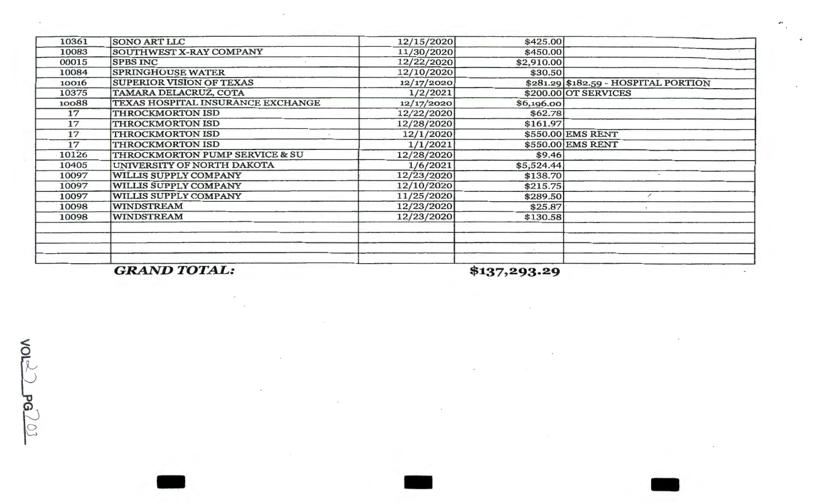| 10361 | <b>SONO ART LLC</b>               | 12/15/2020 | \$425.00   |                                      |
|-------|-----------------------------------|------------|------------|--------------------------------------|
| 10083 | SOUTHWEST X-RAY COMPANY           | 11/30/2020 | \$450.00   |                                      |
| 00015 | <b>SPBS INC</b>                   | 12/22/2020 | \$2,910.00 |                                      |
| 10084 | <b>SPRINGHOUSE WATER</b>          | 12/10/2020 | \$30.50    |                                      |
| 10016 | <b>SUPERIOR VISION OF TEXAS</b>   | 12/17/2020 |            | \$281.29 \$182.59 - HOSPITAL PORTION |
| 10375 | TAMARA DELACRUZ, COTA             | 1/2/2021   |            | \$200.00 OT SERVICES                 |
| 10088 | TEXAS HOSPITAL INSURANCE EXCHANGE | 12/17/2020 | \$6,196.00 |                                      |
| 17    | THROCKMORTON ISD                  | 12/22/2020 | \$62.78    |                                      |
| 17    | THROCKMORTON ISD                  | 12/28/2020 | \$161.97   |                                      |
| 17    | <b>THROCKMORTON ISD</b>           | 12/1/2020  |            | \$550.00 EMS RENT                    |
| 17    | <b>THROCKMORTON ISD</b>           | 1/1/2021   |            | \$550.00 EMS RENT                    |
| 10126 | THROCKMORTON PUMP SERVICE & SU    | 12/28/2020 | \$9.46     |                                      |
| 10405 | UNIVERSITY OF NORTH DAKOTA        | 1/6/2021   | \$5,524.44 |                                      |
| 10097 | WILLIS SUPPLY COMPANY             | 12/23/2020 | \$138.70   |                                      |
| 10097 | WILLIS SUPPLY COMPANY             | 12/10/2020 | \$215.75   |                                      |
| 10097 | WILLIS SUPPLY COMPANY             | 11/25/2020 | \$289.50   |                                      |
| 10098 | <b>WINDSTREAM</b>                 | 12/23/2020 | \$25.87    |                                      |
| 10098 | <b>WINDSTREAM</b>                 | 12/23/2020 | \$130.58   |                                      |
|       |                                   |            |            |                                      |
|       |                                   |            |            |                                      |
|       |                                   |            |            |                                      |
|       |                                   |            |            |                                      |
|       |                                   |            | $\phi$     |                                      |

-

*GRAND TOTAL:* 

**\$137,293.29** 

and the contract of the contract of the contract of the contract of the contract of

 $\lessgtr$  $P G \gtrsim 0$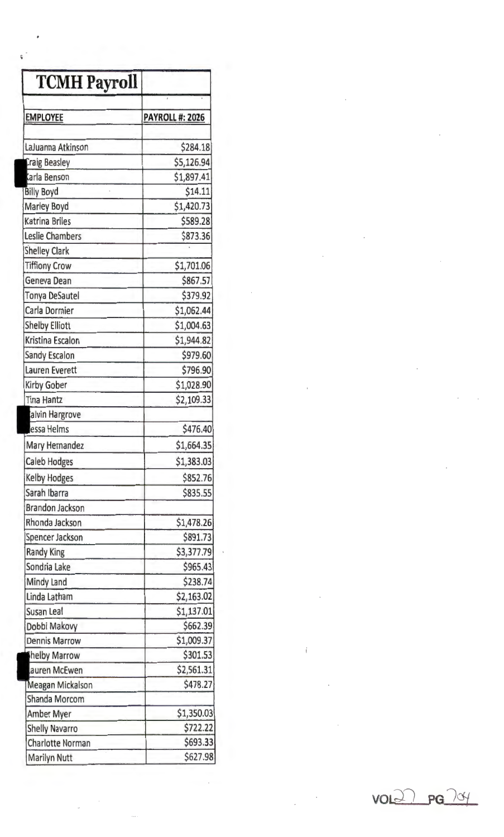| <b>TCMH Payroll</b>    |                        |
|------------------------|------------------------|
| <b>EMPLOYEE</b>        | <b>PAYROLL #: 2026</b> |
|                        |                        |
| LaJuanna Atkinson      | \$284.18               |
| Craig Beasley          | \$5,126.94             |
| Carla Benson           | \$1,897.41             |
| <b>Billy Boyd</b>      | \$14.11                |
| Marley Boyd            | \$1,420.73             |
| <b>Katrina Briles</b>  | \$589.28               |
| <b>Leslie Chambers</b> | \$873.36               |
| <b>Shelley Clark</b>   |                        |
| <b>Tiffiony Crow</b>   | \$1,701.06             |
| Geneva Dean            | \$867.57               |
| <b>Tonya DeSautel</b>  | \$379.92               |
| Carla Dormier          | \$1,062.44             |
| <b>Shelby Elliott</b>  | \$1,004.63             |
| Kristina Escalon       | \$1,944.82             |
| <b>Sandy Escalon</b>   | \$979.60               |
| Lauren Everett         | \$796.90               |
| <b>Kirby Gober</b>     | \$1,028.90             |
| <b>Tina Hantz</b>      | \$2,109.33             |
| alvin Hargrove         |                        |
| essa Helms             | \$476.40               |
| Mary Hernandez         | \$1,664.35             |
| <b>Caleb Hodges</b>    | \$1,383.03             |
| <b>Kelby Hodges</b>    | \$852.76               |
| Sarah Ibarra           | \$835.55               |
| <b>Brandon Jackson</b> |                        |
| Rhonda Jackson         | \$1,478.26             |
| Spencer Jackson        | \$891.73               |
| <b>Randy King</b>      | \$3,377.79             |
| Sondria Lake           | \$965.43               |
| Mindy Land             | \$238.74               |
| Linda Latham           | \$2,163.02             |
| Susan Leal             | \$1,137.01             |
| Dobbi Makovy           | \$662.39               |
| <b>Dennis Marrow</b>   | \$1,009.37             |
| helby Marrow           | \$301.53               |
| auren McEwen           | \$2,561.31             |
| Meagan Mickalson       | \$478.27               |
| Shanda Morcom          |                        |
| Amber Myer             | \$1,350.03             |
| <b>Shelly Navarro</b>  | \$722.22               |
| Charlotte Norman       | \$693.33               |
| Marilyn Nutt           | \$627.98               |

VQLJ-l **PG**  l df

 $\overline{1}$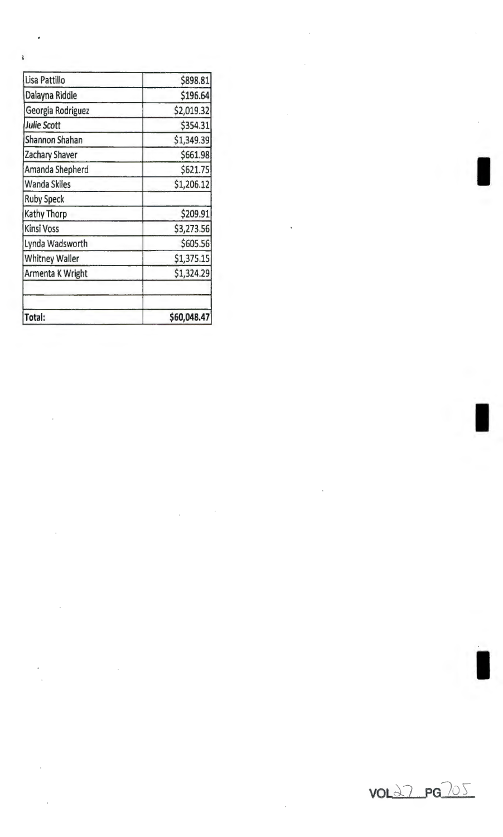| Total:                | \$60,048.47 |
|-----------------------|-------------|
|                       |             |
| Armenta K Wright      | \$1,324.29  |
| <b>Whitney Waller</b> | \$1,375.15  |
| Lynda Wadsworth       | \$605.56    |
| <b>Kinsi Voss</b>     | \$3,273.56  |
| Kathy Thorp           | \$209.91    |
| <b>Ruby Speck</b>     |             |
| <b>Wanda Skiles</b>   | \$1,206.12  |
| Amanda Shepherd       | \$621.75    |
| Zachary Shaver        | \$661.98    |
| Shannon Shahan        | \$1,349.39  |
| Julie Scott           | \$354.31    |
| Georgia Rodriguez     | \$2,019.32  |
| Dalayna Riddle        | \$196.64    |
| Lisa Pattillo         | \$898.81    |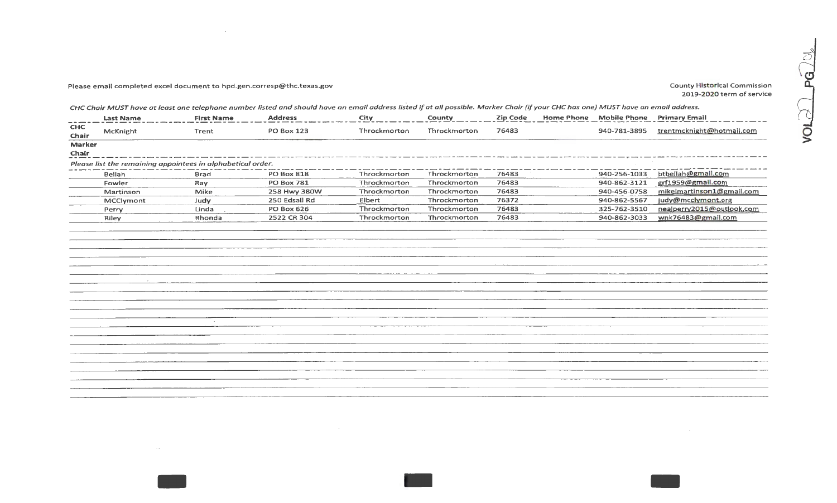## Please email completed excel document to hpd.gen.corresp@thc.texas.gov exceeding the county Historical Commission County Historical Commission

 $\mathcal{L}^{\text{max}}_{\text{max}}$ 

2019-2020 term of service

CHC Chair MUST have at least one telephone number listed and should have an email address listed *if* at all possible. Marker Chair *(if* your CHC has one} MUST have an email address.

|                     | <b>Last Name</b> | <b>First Name</b>                                           | <b>Address</b>    | City         | County       | <b>Zip Code</b> | Home Phone Mobile Phone Primary Email |                           |
|---------------------|------------------|-------------------------------------------------------------|-------------------|--------------|--------------|-----------------|---------------------------------------|---------------------------|
| <b>CHC</b><br>Chair | McKnight         | Trent                                                       | <b>PO Box 123</b> | Throckmorton | Throckmorton | 76483           | 940-781-3895                          | trentmcknight@hotmail.com |
| <b>Marker</b>       |                  |                                                             |                   |              |              |                 |                                       |                           |
| Chair               |                  |                                                             |                   |              |              |                 |                                       |                           |
|                     |                  | Please list the remaining appointees in alphabetical order. |                   |              |              |                 |                                       |                           |
|                     | Bellah           | <b>Brad</b>                                                 | <b>PO Box 818</b> | Throckmorton | Throckmorton | 76483           | 940-256-1033                          | btbellah@gmail.com        |
|                     | Fowler           | Ray                                                         | <b>PO Box 781</b> | Throckmorton | Throckmorton | 76483           | 940-862-3121                          | grf1959@gmail.com         |
|                     | Martinson        | Mike                                                        | 258 Hwy 380W      | Throckmorton | Throckmorton | 76483           | 940-456-0758                          | mikelmartinson1@gmail.com |
|                     | MCClymont        | Judy                                                        | 250 Edsall Rd     | Elbert       | Throckmorton | 76372           | 940-862-5567                          | judy@mcclymont.org        |
|                     | Perry            | Linda                                                       | <b>PO Box 626</b> | Throckmorton | Throckmorton | 76483           | 325-762-3510                          | nealperry2015@outlook.com |
|                     | Riley            | Rhonda                                                      | 2522 CR 304       | Throckmorton | Throckmorton | 76483           | 940-862-3033                          | wnk76483@gmail.com        |
|                     |                  |                                                             |                   |              |              |                 |                                       |                           |
|                     |                  |                                                             |                   |              |              |                 |                                       |                           |
|                     |                  |                                                             |                   |              |              |                 |                                       |                           |
|                     |                  |                                                             |                   |              |              |                 |                                       |                           |
|                     |                  |                                                             |                   |              |              |                 |                                       |                           |
|                     |                  |                                                             |                   |              |              |                 |                                       |                           |
|                     |                  |                                                             |                   |              |              |                 |                                       |                           |
|                     |                  |                                                             |                   |              |              |                 |                                       |                           |
|                     |                  |                                                             |                   |              |              |                 |                                       |                           |
|                     |                  |                                                             |                   |              |              |                 |                                       |                           |
|                     |                  |                                                             |                   |              |              |                 |                                       |                           |
|                     |                  |                                                             |                   |              |              |                 |                                       |                           |
|                     |                  |                                                             |                   |              |              |                 |                                       |                           |
|                     |                  |                                                             |                   |              |              |                 |                                       |                           |
|                     |                  |                                                             |                   |              |              |                 |                                       |                           |
|                     |                  |                                                             |                   |              |              |                 |                                       |                           |
|                     |                  |                                                             |                   |              |              |                 |                                       |                           |
|                     |                  |                                                             |                   |              |              |                 |                                       |                           |
|                     |                  |                                                             |                   |              |              |                 |                                       |                           |
|                     |                  |                                                             |                   |              |              |                 |                                       |                           |
|                     |                  |                                                             |                   |              |              |                 |                                       |                           |

 $\sim 100$  $\sim 10^{11}$ 

 $\sim 100$  $-$  -  $-$  -  $-$  -  $-$  -  $-$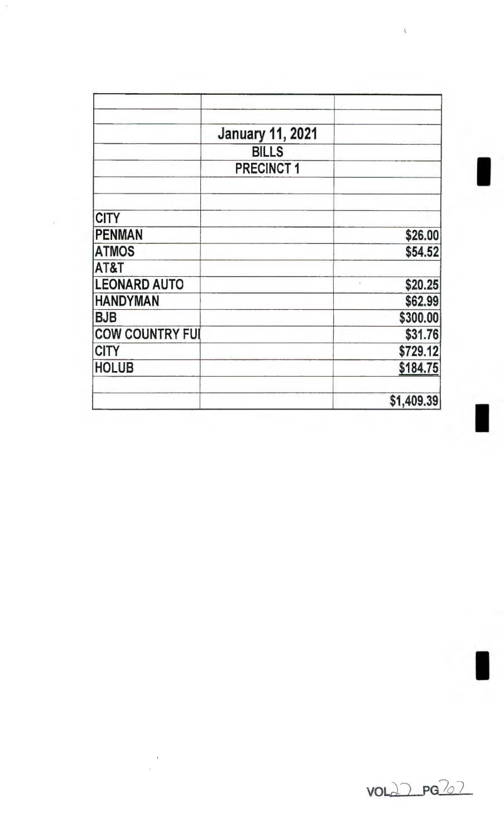|                        | <b>January 11, 2021</b> |            |
|------------------------|-------------------------|------------|
|                        | <b>BILLS</b>            |            |
|                        | <b>PRECINCT1</b>        |            |
| <b>CITY</b>            |                         |            |
| <b>PENMAN</b>          |                         |            |
|                        |                         | \$26.00    |
| <b>ATMOS</b><br>AT&T   |                         | \$54.52    |
| <b>LEONARD AUTO</b>    |                         | \$20.25    |
| <b>HANDYMAN</b>        |                         | \$62.99    |
| <b>BJB</b>             |                         | \$300.00   |
| <b>COW COUNTRY FUI</b> |                         | \$31.76    |
| <b>CITY</b>            |                         | \$729.12   |
| <b>HOLUB</b>           |                         | \$184.75   |
|                        |                         | \$1,409.39 |

 $\bar{1}$ 

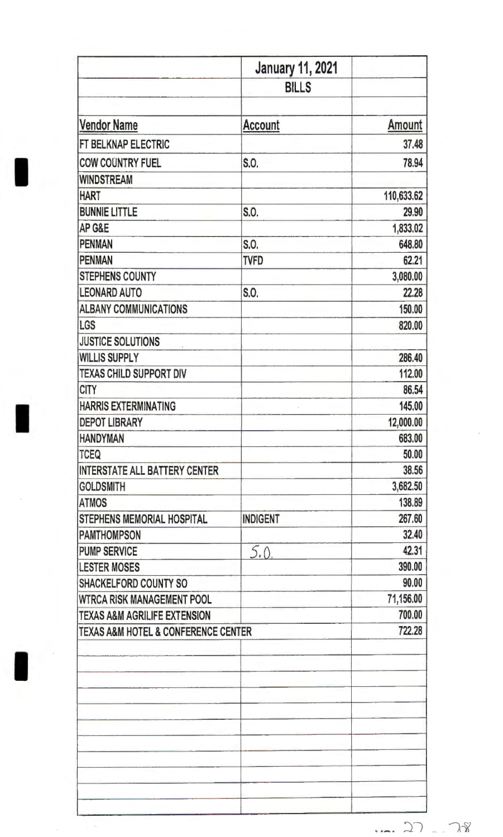| <b>January 11, 2021</b>                            |               |
|----------------------------------------------------|---------------|
| <b>BILLS</b>                                       |               |
|                                                    |               |
| <b>Account</b>                                     | <b>Amount</b> |
|                                                    | 37.48         |
| S.O.                                               | 78.94         |
|                                                    |               |
|                                                    | 110,633.62    |
| S.O.                                               | 29.90         |
|                                                    | 1,833.02      |
| S.O.                                               | 648.80        |
| <b>TVFD</b>                                        | 62.21         |
|                                                    | 3,080.00      |
| S.O.                                               | 22.28         |
|                                                    | 150.00        |
|                                                    | 820.00        |
|                                                    |               |
|                                                    | 286.40        |
|                                                    | 112.00        |
|                                                    | 86.54         |
|                                                    | 145.00        |
|                                                    | 12,000.00     |
|                                                    | 683.00        |
|                                                    | 50.00         |
|                                                    | 38.56         |
|                                                    | 3,682.50      |
|                                                    | 138.89        |
| <b>INDIGENT</b>                                    | 267.60        |
|                                                    | 32.40         |
|                                                    | 42.31         |
|                                                    | 390.00        |
|                                                    | 90.00         |
|                                                    | 71,156.00     |
|                                                    | 700.00        |
| <b>TEXAS A&amp;M HOTEL &amp; CONFERENCE CENTER</b> | 722.28        |
|                                                    | 5.0           |

 $\epsilon_{\rm t}$ 

 $\sim$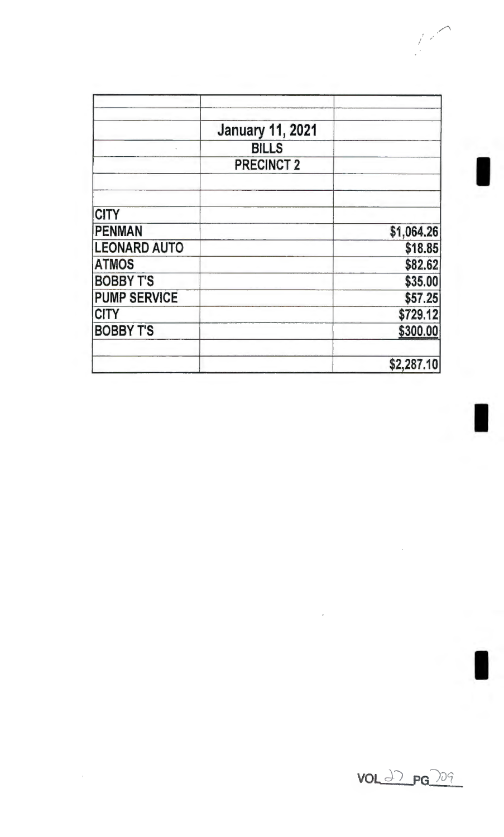|                     | <b>January 11, 2021</b> |            |
|---------------------|-------------------------|------------|
|                     | <b>BILLS</b>            |            |
|                     | <b>PRECINCT 2</b>       |            |
| <b>CITY</b>         |                         |            |
| <b>PENMAN</b>       |                         | \$1,064.26 |
| <b>LEONARD AUTO</b> |                         | \$18.85    |
| <b>ATMOS</b>        |                         | \$82.62    |
| <b>BOBBY T'S</b>    |                         | \$35.00    |
| <b>PUMP SERVICE</b> |                         | \$57.25    |
| <b>CITY</b>         |                         | \$729.12   |
| <b>BOBBY T'S</b>    |                         | \$300.00   |
|                     |                         | \$2,287.10 |

VOL ~) PG *)Jq* 

 $\hat{\mathcal{A}}$ 

 $\bar{ }$ 

 $\bar{t}$ 

*/.* ,.·

I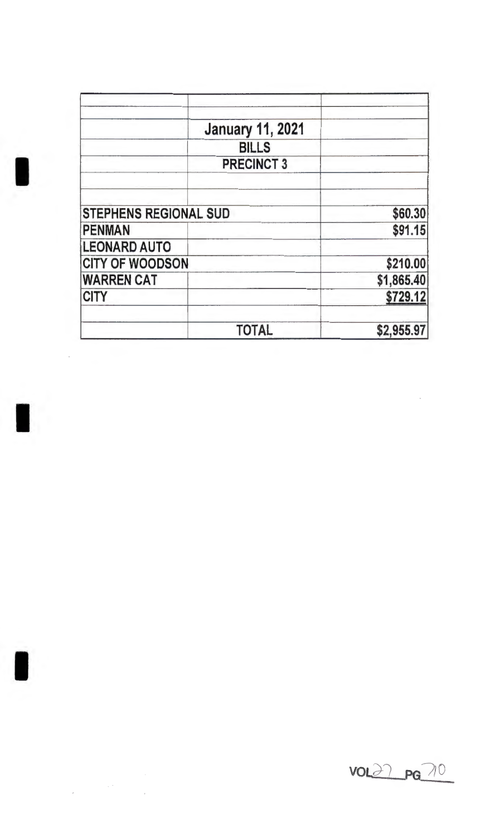|                              | <b>January 11, 2021</b> |            |
|------------------------------|-------------------------|------------|
|                              | <b>BILLS</b>            |            |
|                              | <b>PRECINCT 3</b>       |            |
|                              |                         |            |
|                              |                         |            |
| <b>STEPHENS REGIONAL SUD</b> |                         | \$60.30    |
| <b>PENMAN</b>                |                         | \$91.15    |
| <b>LEONARD AUTO</b>          |                         |            |
| <b>CITY OF WOODSON</b>       |                         | \$210.00   |
| <b>WARREN CAT</b>            |                         | \$1,865.40 |
| <b>CITY</b>                  |                         | \$729.12   |
|                              | <b>TOTAL</b>            | \$2,955.97 |

I

 $\mathcal{L}_{\text{max}}$ 

I



 $\hat{\mathcal{A}}$